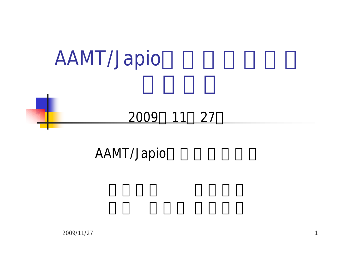

AAMT/Japio

2009/11/27 1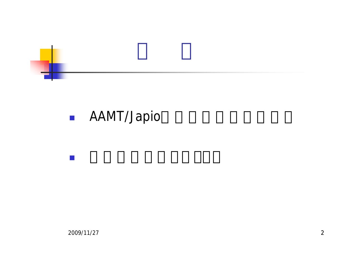

2009/11/27 2

 $\left\vert \begin{array}{c} 0 \\ 0 \end{array} \right\vert$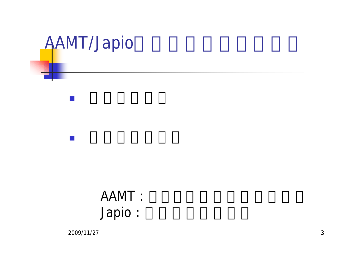$\mathcal{L}_{\mathcal{A}}$ 

### AAMT : Japio :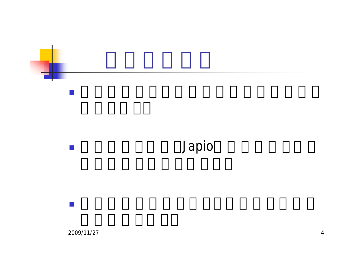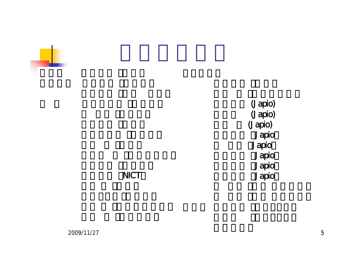

(J apio) (J apio) (J apio) **Japio Japio Japio Japio Japio** 

**NICT**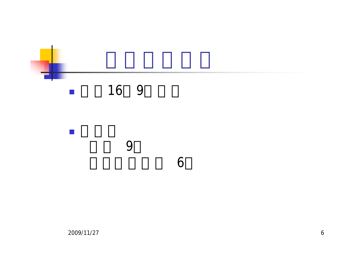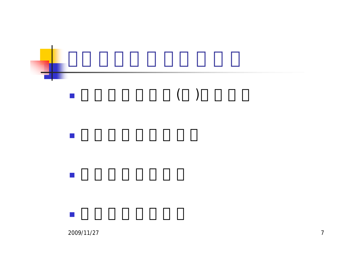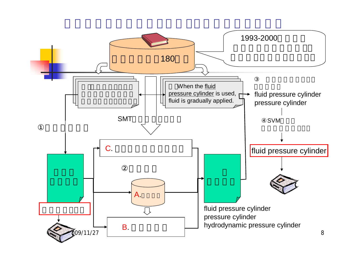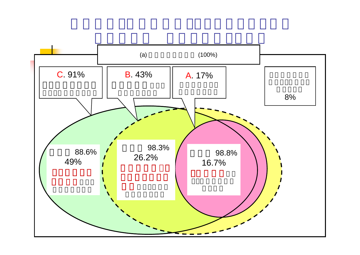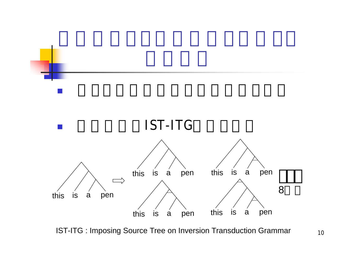

IST-ITG : Imposing Source Tree on Inversion Transduction Grammar  $_{10}$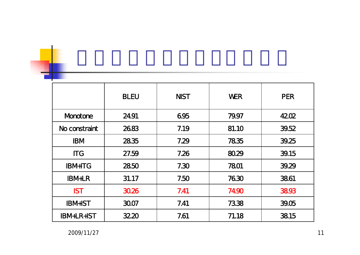|                   | <b>BLEU</b> | <b>NIST</b> | <b>WER</b>  | <b>PER</b> |
|-------------------|-------------|-------------|-------------|------------|
| Monotone          | 24.91       | 6.95        | 79.97       | 4202       |
| No constraint     | 2683        | 7.19        | 81.10       | 39.52      |
| <b>IBM</b>        | 2835        | 7.29        | 7835        | 39.25      |
| <b>ITG</b>        | 27.59       | 7.26        | 80.29       | 39.15      |
| <b>IBMHTG</b>     | 2850        | 7.30        | <b>7801</b> | 39.29      |
| <b>IBM+LR</b>     | 31.17       | 7.50        | 7630        | 3861       |
| <b>IST</b>        | 30.26       | 7.41        | 74.90       | 3893       |
| <b>IBMHST</b>     | 3007        | 7.41        | 7338        | 39.05      |
| <b>IBM+LR+IST</b> | 3220        | 7.61        | 71.18       | 3815       |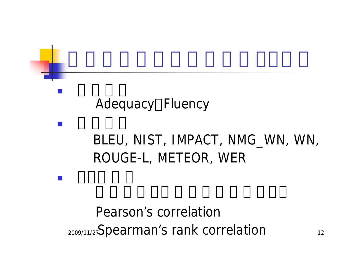## 2009/11/27Spearman's rank correlation 12 Adequacy Fluency BLEU, NIST, IMPACT, NMG\_WN, WN, ROUGE-L, METEOR, WER Pearson's correlation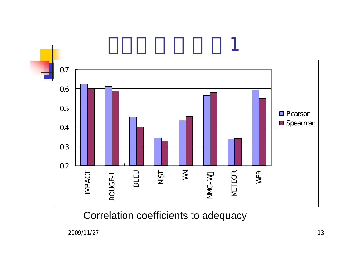1



Correlation coefficients to adequacy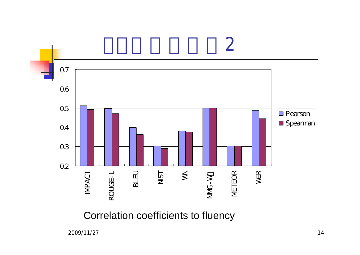### 2



Correlation coefficients to fluency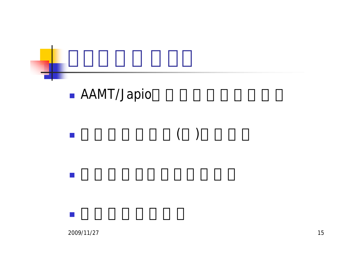$\begin{pmatrix} 1 & 1 \\ 1 & 1 \end{pmatrix}$ 

2009/11/27 15

 $\mathcal{L}_{\mathcal{A}}$ 

 $\mathcal{L}_{\text{max}}$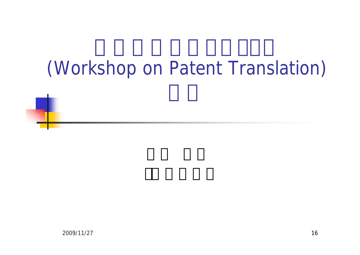## (Workshop on Patent Translation)

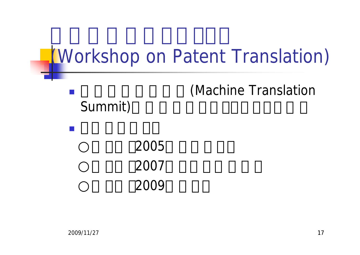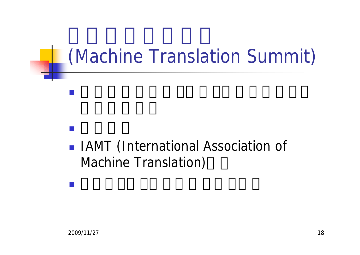## (Machine Translation Summit)

#### $\left\vert \cdot\right\vert$

 $\mathbb{R}^2$ 

 $\left\vert \cdot\right\vert$ 

**IAMT** (International Association of Machine Translation)

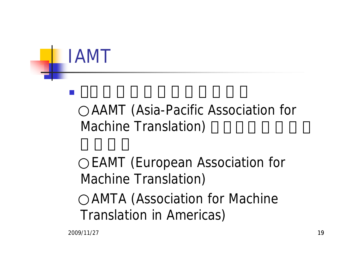

 $\left\vert \cdot\right\vert$ 

### AAMT (Asia-Pacific Association for Machine Translation)

### EAMT (European Association for Machine Translation)

AMTA (Association for Machine Translation in Americas)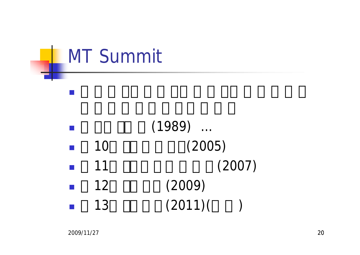# MT Summit



 $\left\vert \cdot\right\vert$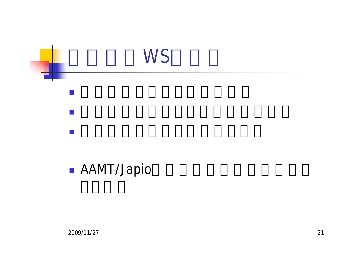

2009/11/27 21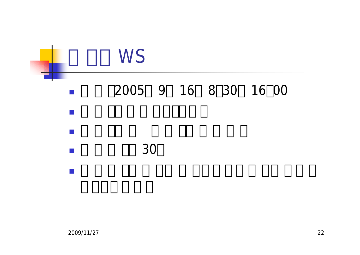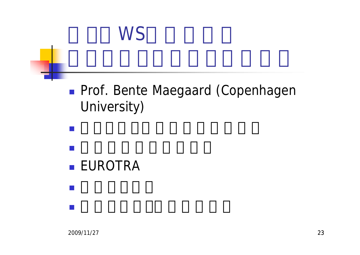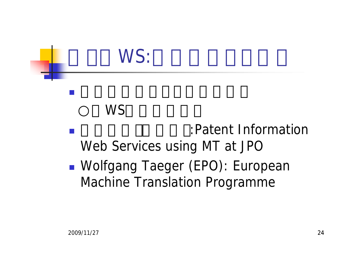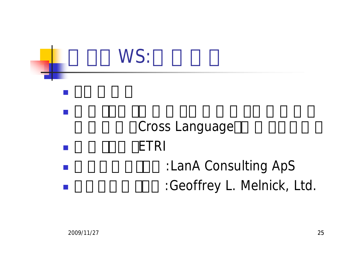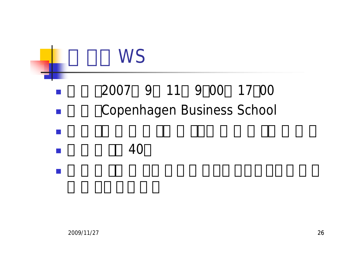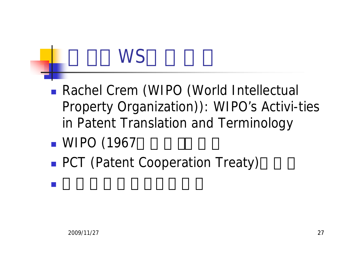- Rachel Crem (WIPO (World Intellectual Property Organization)): WIPO's Activi-ties in Patent Translation and Terminology
- **WIPO (1967**
- **PCT (Patent Cooperation Treaty)**

 $\mathbb{R}^2$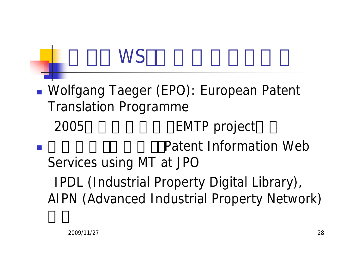- Wolfgang Taeger (EPO): European Patent Translation Programme
	- 2005 EMTP project
- Patent Information Web Services using MT at JPO IPDL (Industrial Property Digital Library), AIPN (Advanced Industrial Property Network)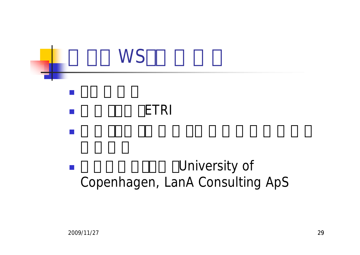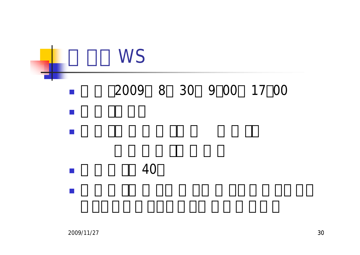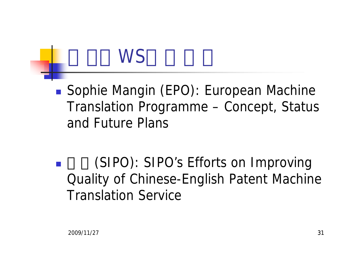- Sophie Mangin (EPO): European Machine Translation Programme – Concept, Status and Future Plans
- (SIPO): SIPO's Efforts on Improving Quality of Chinese-English Patent Machine Translation Service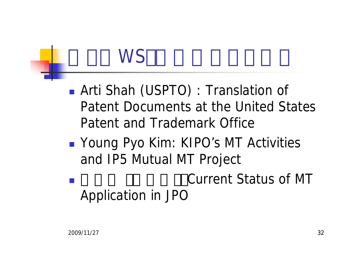- Arti Shah (USPTO) : Translation of Patent Documents at the United States Patent and Trademark Office
- Young Pyo Kim: KIPO's MT Activities and IP5 Mutual MT Project
- Current Status of MT Application in JPO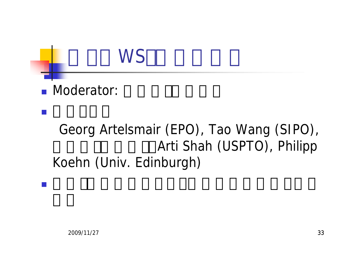# **Moderator:**

 $\label{eq:2} \begin{array}{c} \mathcal{L}_{\text{eff}} \\ \mathcal{L}_{\text{eff}} \end{array}$ 

 $\label{eq:2} \begin{array}{c} \mathcal{L}_{\text{eff}} \\ \mathcal{L}_{\text{eff}} \end{array}$ 

WS

### Georg Artelsmair (EPO), Tao Wang (SIPO), Arti Shah (USPTO), Philipp Koehn (Univ. Edinburgh)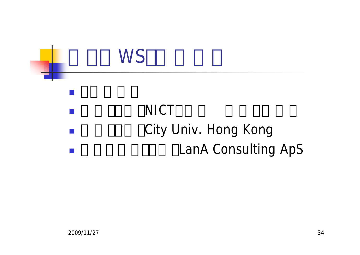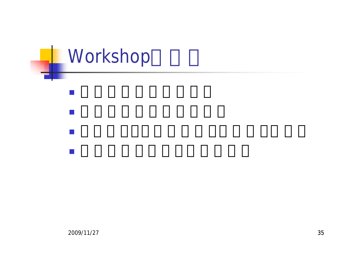#### Workshop

 $\left\vert \cdot\right\vert$ 

 $\mathbb{R}^2$ 

 $\sim$  1

 $\mathbb{R}^2$ 

2009/11/27 35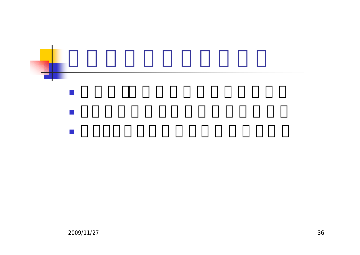

2009/11/27